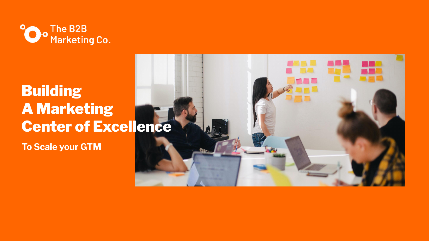

### Building A Marketing Center of Excellence

**To Scale your GTM**

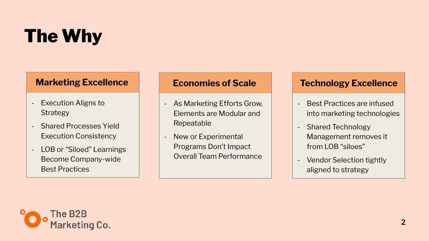# The Why

- Execution Aligns to **Strategy**
- Shared Processes Yield Execution Consistency
- LOB or "Siloed" Learnings Become Company-wide Best Practices

### **Marketing Excellence**

- Best Practices are infused into marketing technologies
- Shared Technology Management removes it from LOB "siloes"
- Vendor Selection tightly aligned to strategy

### **Technology Excellence**

- As Marketing Efforts Grow, Elements are Modular and Repeatable
- New or Experimental Programs Don't Impact Overall Team Performance



#### **Economies of Scale**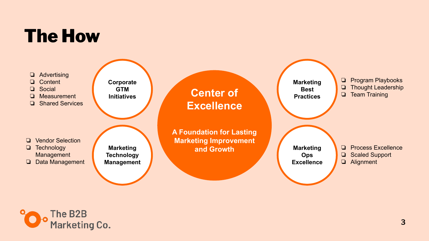### The How

### **Center of Excellence**

**A Foundation for Lasting Marketing Improvement and Growth**





**Corporate GTM Initiatives**

- ❏ Advertising
- ❏ Content
- ❏ Social
- ❏ Measurement
- ❏ Shared Services

**Marketing Technology Management**

- ❏ Vendor Selection
- ❏ Technology
- **Management**
- ❏ Data Management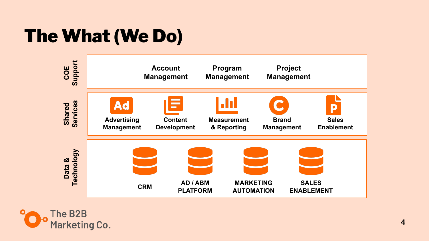## The What (We Do)



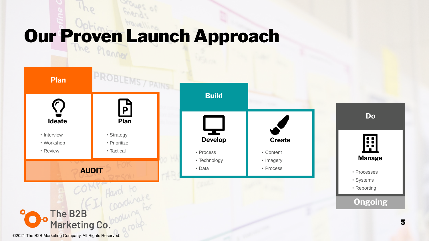**Do**

#### **Ongoing**





©2021 The B2B Marketing Company. All Rights Reserved.



#### **Manage**

- Processes
- Systems
- Reporting

# Our Proven Launch Approach